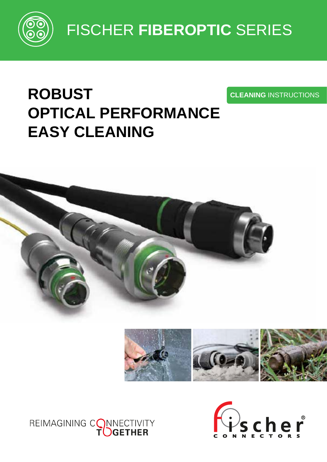

FISCHER **FIBEROPTIC** SERIES

# **ROBUST OPTICAL PERFORMANCE EASY CLEANING**







**CLEANING** INSTRUCTIONS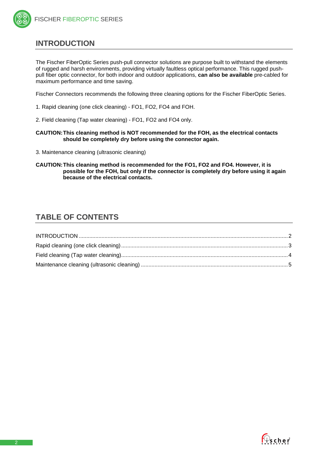## <span id="page-1-0"></span>**INTRODUCTION**

The Fischer FiberOptic Series push-pull connector solutions are purpose built to withstand the elements of rugged and harsh environments, providing virtually faultless optical performance. This rugged pushpull fiber optic connector, for both indoor and outdoor applications, **can also be available** pre-cabled for maximum performance and time saving.

Fischer Connectors recommends the following three cleaning options for the Fischer FiberOptic Series.

- 1. Rapid cleaning (one click cleaning) FO1, FO2, FO4 and FOH.
- 2. Field cleaning (Tap water cleaning) FO1, FO2 and FO4 only.

**CAUTION:This cleaning method is NOT recommended for the FOH, as the electrical contacts should be completely dry before using the connector again.**

- 3. Maintenance cleaning (ultrasonic cleaning)
- **CAUTION:This cleaning method is recommended for the FO1, FO2 and FO4. However, it is possible for the FOH, but only if the connector is completely dry before using it again because of the electrical contacts.**

## **TABLE OF CONTENTS**

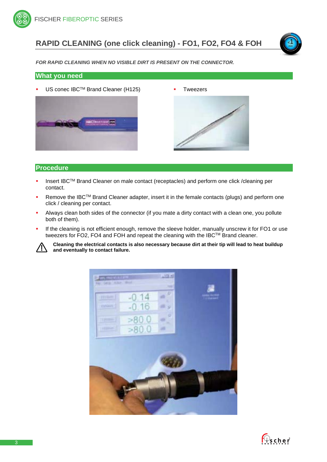## <span id="page-2-0"></span>**RAPID CLEANING (one click cleaning) - FO1, FO2, FO4 & FOH**



*FOR RAPID CLEANING WHEN NO VISIBLE DIRT IS PRESENT ON THE CONNECTOR.*

#### **What you need**

US conec IBC™ Brand Cleaner (H125) Tweezers





## **Procedure**

- Insert IBCTM Brand Cleaner on male contact (receptacles) and perform one click /cleaning per contact.
- Remove the IBC™ Brand Cleaner adapter, insert it in the female contacts (plugs) and perform one click / cleaning per contact.
- Always clean both sides of the connector (if you mate a dirty contact with a clean one, you pollute both of them).
- If the cleaning is not efficient enough, remove the sleeve holder, manually unscrew it for FO1 or use tweezers for FO2, FO4 and FOH and repeat the cleaning with the IBC™ Brand cleaner.



**Cleaning the electrical contacts is also necessary because dirt at their tip will lead to heat buildup and eventually to contact failure.**



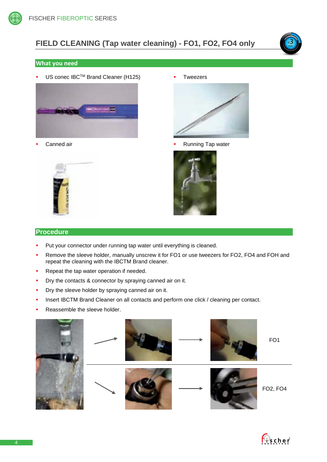# <span id="page-3-0"></span>**FIELD CLEANING (Tap water cleaning) - FO1, FO2, FO4 only**



#### **What you need**

US conec IBC™ Brand Cleaner (H125)



Canned air



Tweezers



Running Tap water



## **Procedure**

- Put your connector under running tap water until everything is cleaned.
- Remove the sleeve holder, manually unscrew it for FO1 or use tweezers for FO2, FO4 and FOH and repeat the cleaning with the IBCTM Brand cleaner.
- Repeat the tap water operation if needed.
- **Dry the contacts & connector by spraying canned air on it.**
- **•** Dry the sleeve holder by spraying canned air on it.
- **Insert IBCTM Brand Cleaner on all contacts and perform one click / cleaning per contact.**
- Reassemble the sleeve holder.

<span id="page-3-1"></span>

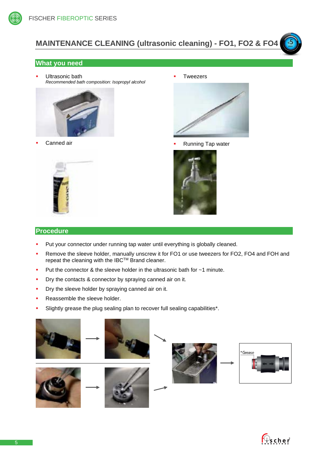

# **MAINTENANCE CLEANING (ultrasonic cleaning) - FO1, FO2 & FO4**



 Ultrasonic bath *Recommended bath composition: Isopropyl alcohol*



Canned air



Tweezers



<5 min

Running Tap water



## **Procedure**

- **Put your connector under running tap water until everything is globally cleaned.**
- Remove the sleeve holder, manually unscrew it for FO1 or use tweezers for FO2, FO4 and FOH and repeat the cleaning with the IBC™ Brand cleaner.
- Put the connector & the sleeve holder in the ultrasonic bath for  $\sim$ 1 minute.
- **Dry the contacts & connector by spraying canned air on it.**
- Dry the sleeve holder by spraying canned air on it.
- Reassemble the sleeve holder.
- Slightly grease the plug sealing plan to recover full sealing capabilities\*.